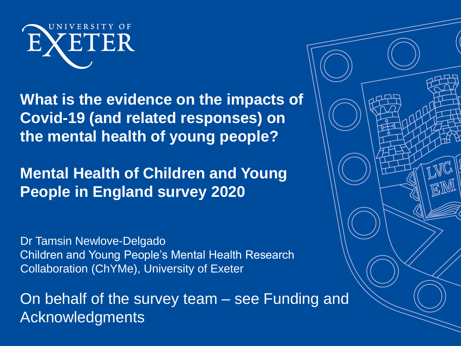

**What is the evidence on the impacts of Covid-19 (and related responses) on the mental health of young people?**

**Mental Health of Children and Young People in England survey 2020** 

Dr Tamsin Newlove-Delgado Children and Young People's Mental Health Research Collaboration (ChYMe), University of Exeter

On behalf of the survey team – see Funding and Acknowledgments

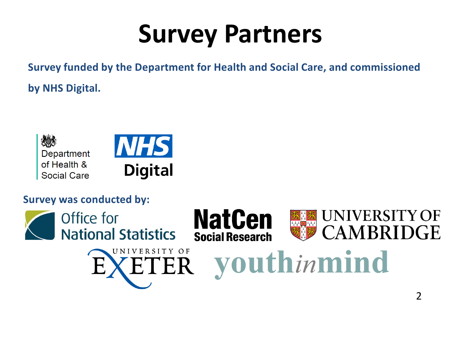# **Survey Partners**

**Survey funded by the Department for Health and Social Care, and commissioned by NHS Digital.**



#### **Survey was conducted by:**

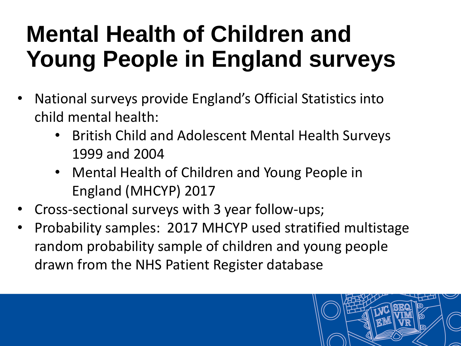## **Mental Health of Children and Young People in England surveys**

- National surveys provide England's Official Statistics into child mental health:
	- British Child and Adolescent Mental Health Surveys 1999 and 2004
	- Mental Health of Children and Young People in England (MHCYP) 2017
- Cross-sectional surveys with 3 year follow-ups;
- Probability samples: 2017 MHCYP used stratified multistage random probability sample of children and young people drawn from the NHS Patient Register database

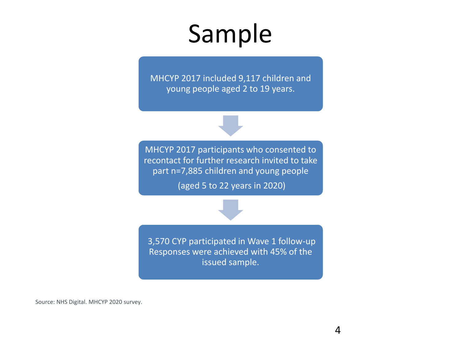## Sample

MHCYP 2017 included 9,117 children and young people aged 2 to 19 years.

MHCYP 2017 participants who consented to recontact for further research invited to take part n=7,885 children and young people (aged 5 to 22 years in 2020)



3,570 CYP participated in Wave 1 follow-up Responses were achieved with 45% of the issued sample.

Source: NHS Digital. MHCYP 2020 survey.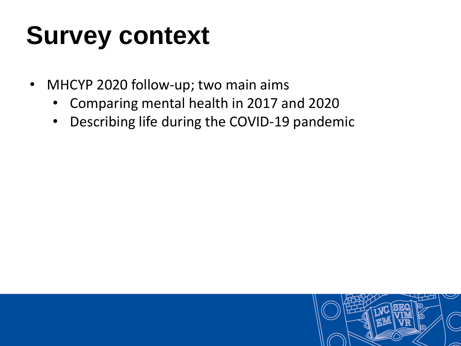# **Survey context**

- MHCYP 2020 follow-up; two main aims
	- Comparing mental health in 2017 and 2020
	- Describing life during the COVID-19 pandemic

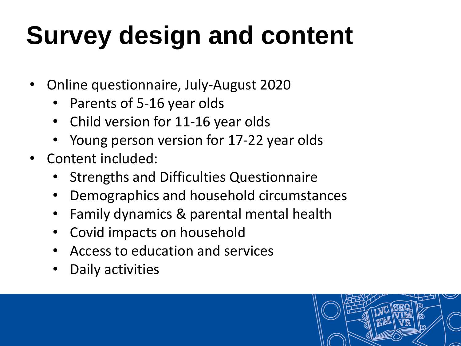# **Survey design and content**

- Online questionnaire, July-August 2020
	- Parents of 5-16 year olds
	- Child version for 11-16 year olds
	- Young person version for 17-22 year olds
- Content included:
	- Strengths and Difficulties Questionnaire
	- Demographics and household circumstances
	- Family dynamics & parental mental health
	- Covid impacts on household
	- Access to education and services
	- Daily activities

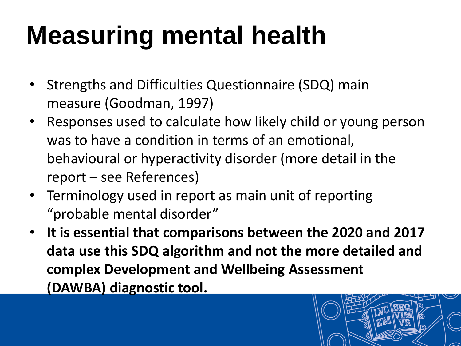# **Measuring mental health**

- Strengths and Difficulties Questionnaire (SDQ) main measure (Goodman, 1997)
- Responses used to calculate how likely child or young person was to have a condition in terms of an emotional, behavioural or hyperactivity disorder (more detail in the report – see References)
- Terminology used in report as main unit of reporting "probable mental disorder"
- **It is essential that comparisons between the 2020 and 2017 data use this SDQ algorithm and not the more detailed and complex Development and Wellbeing Assessment (DAWBA) diagnostic tool.**

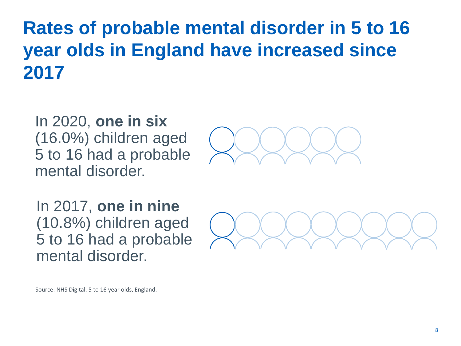**Rates of probable mental disorder in 5 to 16 year olds in England have increased since 2017**

In 2020, **one in six**  (16.0%) children aged 5 to 16 had a probable mental disorder.



In 2017, **one in nine**  (10.8%) children aged 5 to 16 had a probable mental disorder.



Source: NHS Digital. 5 to 16 year olds, England.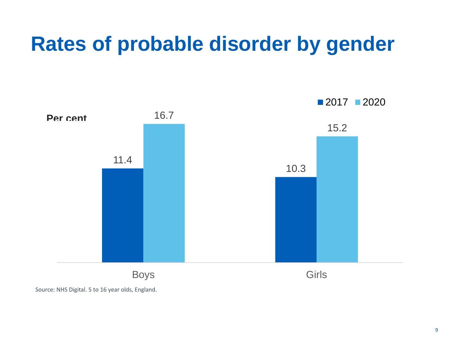### **Rates of probable disorder by gender**



Source: NHS Digital. 5 to 16 year olds, England.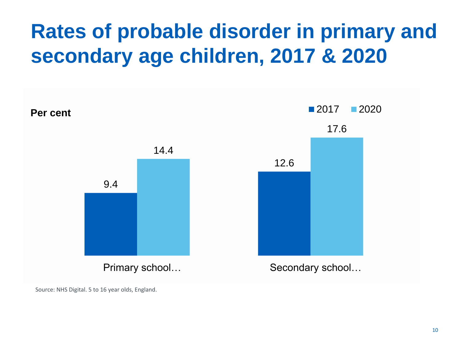### **Rates of probable disorder in primary and secondary age children, 2017 & 2020**



Source: NHS Digital. 5 to 16 year olds, England.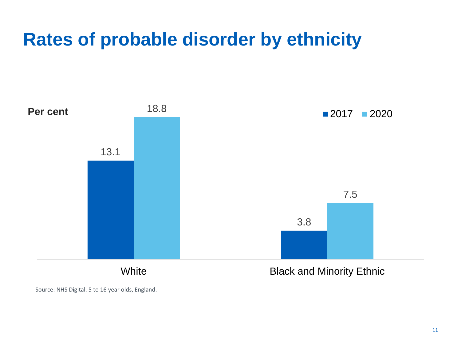### **Rates of probable disorder by ethnicity**



Source: NHS Digital. 5 to 16 year olds, England.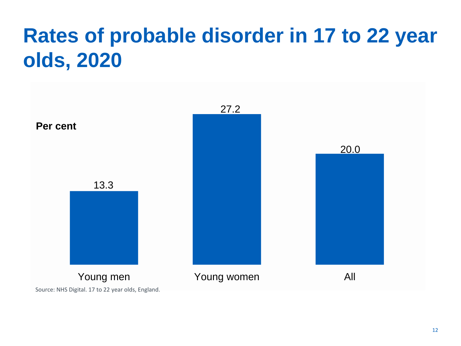### **Rates of probable disorder in 17 to 22 year olds, 2020**

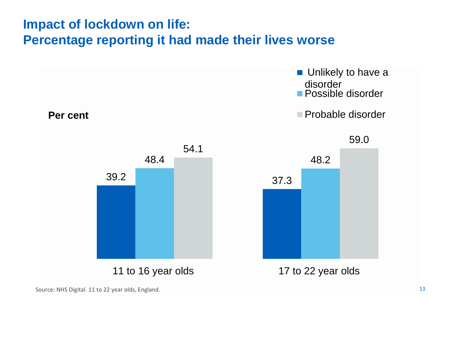#### **Impact of lockdown on life: Percentage reporting it had made their lives worse**

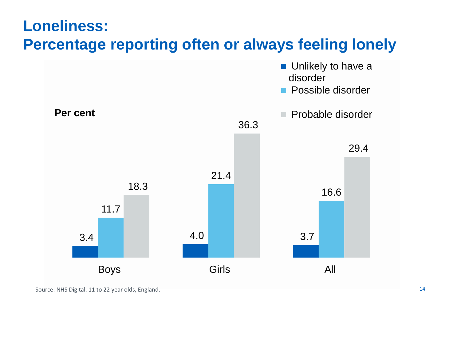#### **Loneliness: Percentage reporting often or always feeling lonely**

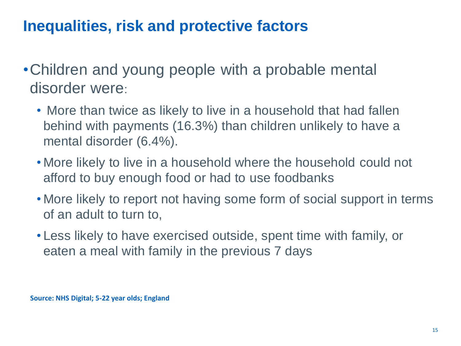### **Inequalities, risk and protective factors**

- •Children and young people with a probable mental disorder were:
	- More than twice as likely to live in a household that had fallen behind with payments (16.3%) than children unlikely to have a mental disorder (6.4%).
	- More likely to live in a household where the household could not afford to buy enough food or had to use foodbanks
	- More likely to report not having some form of social support in terms of an adult to turn to,
	- Less likely to have exercised outside, spent time with family, or eaten a meal with family in the previous 7 days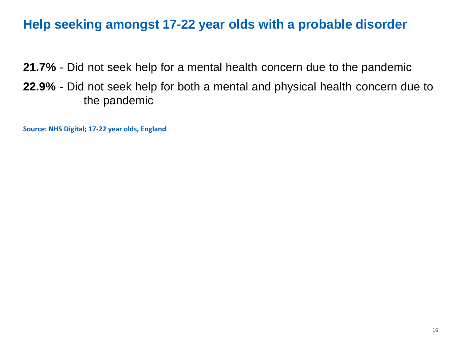#### **Help seeking amongst 17-22 year olds with a probable disorder**

**21.7%** - Did not seek help for a mental health concern due to the pandemic

**22.9%** - Did not seek help for both a mental and physical health concern due to the pandemic

**Source: NHS Digital; 17-22 year olds, England**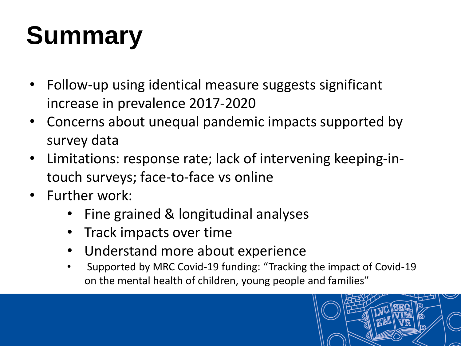# **Summary**

- Follow-up using identical measure suggests significant increase in prevalence 2017-2020
- Concerns about unequal pandemic impacts supported by survey data
- Limitations: response rate; lack of intervening keeping-intouch surveys; face-to-face vs online
- Further work:
	- Fine grained & longitudinal analyses
	- Track impacts over time
	- Understand more about experience
	- Supported by MRC Covid-19 funding: "Tracking the impact of Covid-19 on the mental health of children, young people and families"

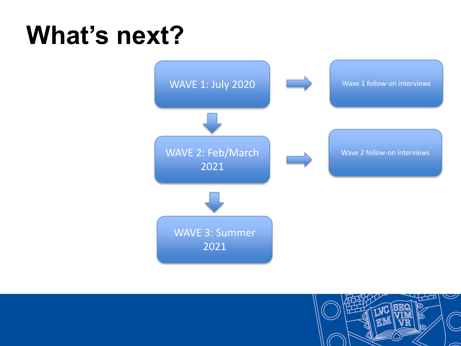## **What's next?**



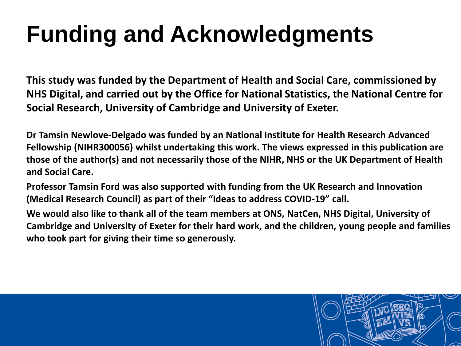# **Funding and Acknowledgments**

**This study was funded by the Department of Health and Social Care, commissioned by NHS Digital, and carried out by the Office for National Statistics, the National Centre for Social Research, University of Cambridge and University of Exeter.**

**Dr Tamsin Newlove-Delgado was funded by an National Institute for Health Research Advanced Fellowship (NIHR300056) whilst undertaking this work. The views expressed in this publication are those of the author(s) and not necessarily those of the NIHR, NHS or the UK Department of Health and Social Care.**

**Professor Tamsin Ford was also supported with funding from the UK Research and Innovation (Medical Research Council) as part of their "Ideas to address COVID-19" call.**

**We would also like to thank all of the team members at ONS, NatCen, NHS Digital, University of Cambridge and University of Exeter for their hard work, and the children, young people and families who took part for giving their time so generously.**